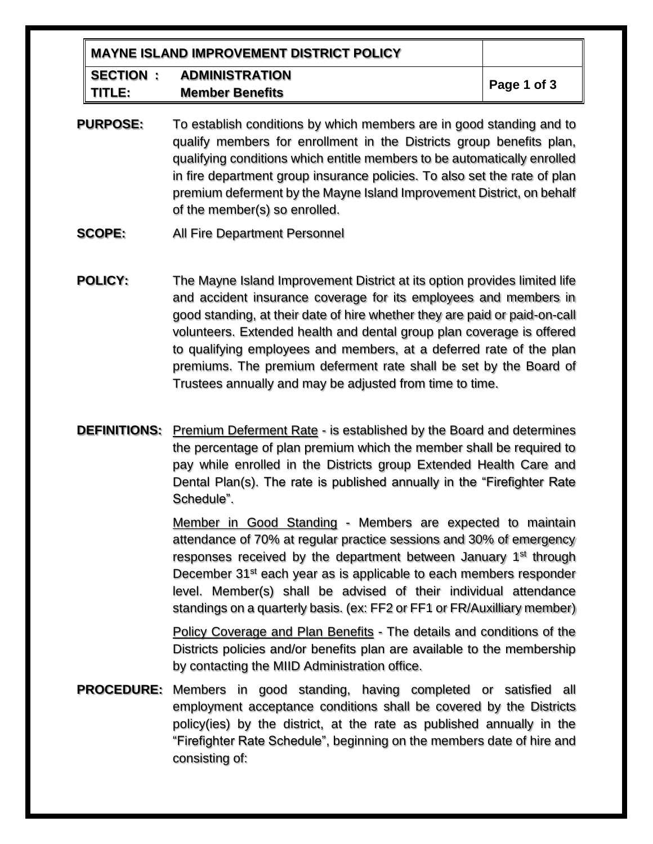| <b>MAYNE ISLAND IMPROVEMENT DISTRICT POLICY</b> |                        |             |
|-------------------------------------------------|------------------------|-------------|
| SECTION :                                       | <b>ADMINISTRATION</b>  | Page 1 of 3 |
| TITLE:                                          | <b>Member Benefits</b> |             |

- **PURPOSE:** To establish conditions by which members are in good standing and to qualify members for enrollment in the Districts group benefits plan, qualifying conditions which entitle members to be automatically enrolled in fire department group insurance policies. To also set the rate of plan premium deferment by the Mayne Island Improvement District, on behalf of the member(s) so enrolled.
- **SCOPE:** All Fire Department Personnel
- **POLICY:** The Mayne Island Improvement District at its option provides limited life and accident insurance coverage for its employees and members in good standing, at their date of hire whether they are paid or paid-on-call volunteers. Extended health and dental group plan coverage is offered to qualifying employees and members, at a deferred rate of the plan premiums. The premium deferment rate shall be set by the Board of Trustees annually and may be adjusted from time to time.
- **DEFINITIONS:** Premium Deferment Rate is established by the Board and determines the percentage of plan premium which the member shall be required to pay while enrolled in the Districts group Extended Health Care and Dental Plan(s). The rate is published annually in the "Firefighter Rate Schedule".

Member in Good Standing - Members are expected to maintain attendance of 70% at regular practice sessions and 30% of emergency responses received by the department between January 1<sup>st</sup> through December 31<sup>st</sup> each year as is applicable to each members responder level. Member(s) shall be advised of their individual attendance standings on a quarterly basis. (ex: FF2 or FF1 or FR/Auxilliary member)

Policy Coverage and Plan Benefits - The details and conditions of the Districts policies and/or benefits plan are available to the membership by contacting the MIID Administration office.

**PROCEDURE:** Members in good standing, having completed or satisfied all employment acceptance conditions shall be covered by the Districts policy(ies) by the district, at the rate as published annually in the "Firefighter Rate Schedule", beginning on the members date of hire and consisting of: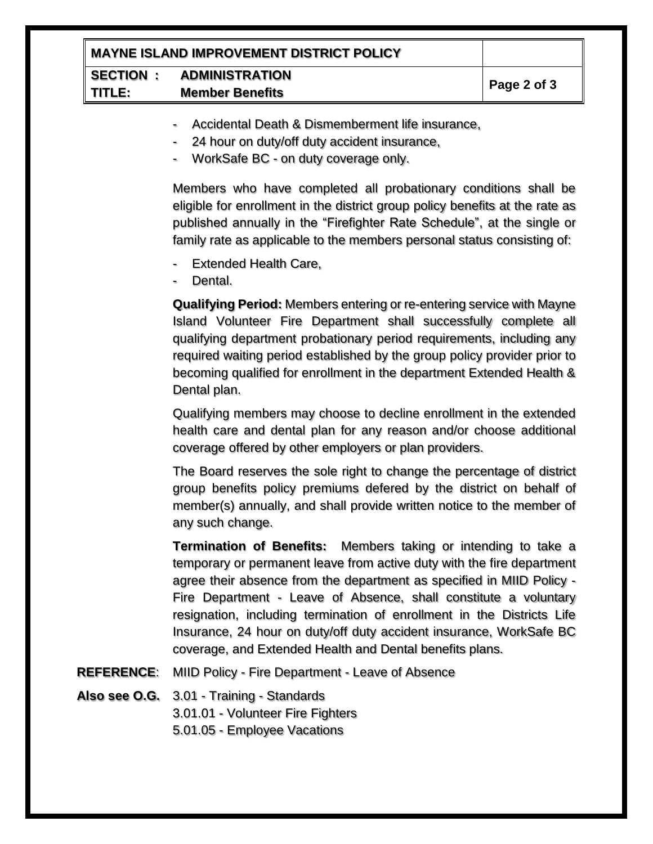| MAYNE ISLAND IMPROVEMENT DISTRICT POLICY |             |  |
|------------------------------------------|-------------|--|
| SECTION<br><b>ADMINISTRATION</b>         |             |  |
| <b>TITLE:</b><br><b>Member Benefits</b>  | Page 2 of 3 |  |

- Accidental Death & Dismemberment life insurance,
- 24 hour on duty/off duty accident insurance,
- WorkSafe BC on duty coverage only.

Members who have completed all probationary conditions shall be eligible for enrollment in the district group policy benefits at the rate as published annually in the "Firefighter Rate Schedule", at the single or family rate as applicable to the members personal status consisting of:

- Extended Health Care,
- Dental.

**Qualifying Period:** Members entering or re-entering service with Mayne Island Volunteer Fire Department shall successfully complete all qualifying department probationary period requirements, including any required waiting period established by the group policy provider prior to becoming qualified for enrollment in the department Extended Health & Dental plan.

Qualifying members may choose to decline enrollment in the extended health care and dental plan for any reason and/or choose additional coverage offered by other employers or plan providers.

The Board reserves the sole right to change the percentage of district group benefits policy premiums defered by the district on behalf of member(s) annually, and shall provide written notice to the member of any such change.

**Termination of Benefits:** Members taking or intending to take a temporary or permanent leave from active duty with the fire department agree their absence from the department as specified in MIID Policy - Fire Department - Leave of Absence, shall constitute a voluntary resignation, including termination of enrollment in the Districts Life Insurance, 24 hour on duty/off duty accident insurance, WorkSafe BC coverage, and Extended Health and Dental benefits plans.

- **REFERENCE**: MIID Policy Fire Department Leave of Absence
- **Also see O.G.** 3.01 Training Standards

3.01.01 - Volunteer Fire Fighters

5.01.05 - Employee Vacations